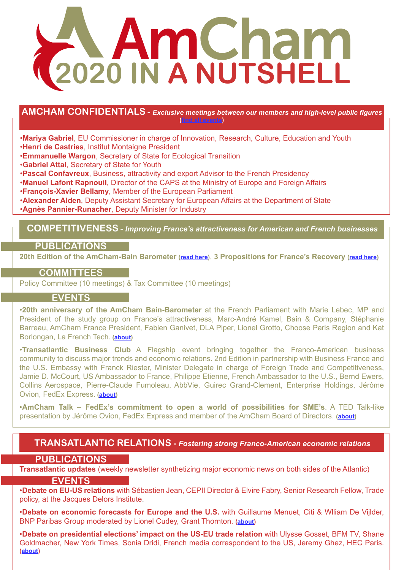

**http://amchamfrance.org/pass-ex-AMCHAM CONFIDENTIALS -** *Exclusive meetings between our members and high-level public figures*

•**Mariya Gabriel**, EU Commissioner in charge of Innovation, Research, Culture, Education and Youth •**Henri de Castries**, Institut Montaigne President

•**Emmanuelle Wargon**, Secretary of State for Ecological Transition

•**Gabriel Attal**, Secretary of State for Youth

- •**Pascal Confavreux**, Business, attractivity and export Advisor to the French Presidency
- •Manuel Lafont Rapnouil, Director of the CAPS at the Ministry of Europe and Foreign Affairs<br>•François-Xavier Bellamy, Member of the European Parliament

•**François-Xavier Bellamy**, Member of the European Parliament

•**Alexander Alden**, Deputy Assistant Secretary for European Affairs at the Department of State

**Agnès Pannier-Runacher**, Deputy Minister for Industry

# **COMPETITIVENESS -** *Improving France's attractiveness for American and French businesses*

#### **PUBLICATIONS**

**20th Edition of the AmCham-Bain Barometer [\(read here\)](http://amchamfrance.org/wp-content/uploads/2020/02/Pre%CC%81sentation-AMCHAM-BAIN-ang.pdf)**, **3 Propositions for France's Recovery [\(read here\)](http://amchamfrance.org/publication/3-propositions-pour-la-relance-de-leconomie/)** 

#### **COMMITTEES**

Policy Committee (10 meetings) & Tax Committee (10 meetings)

## **EVENTS**

•**20th anniversary of the AmCham Bain-Barometer** at the French Parliament with Marie Lebec, MP and President of the study group on France's attractiveness, Marc-André Kamel, Bain & Company, Stéphanie Barreau, AmCham France President, Fabien Ganivet, DLA Piper, Lionel Grotto, Choose Paris Region and Kat Borlongan, La French Tech. **[\(about\)](http://amchamfrance.org/event/presentation-de-la-21eme-edition-du-barometre-amcham-bain/)** 

•**Transatlantic Business Club** A Flagship event bringing together the Franco-American business community to discuss major trends and economic relations. 2nd Edition in partnership with Business France and the U.S. Embassy with Franck Riester, Minister Delegate in charge of Foreign Trade and Competitiveness, Jamie D. McCourt, US Ambassador to France, Philippe Etienne, French Ambassador to the U.S., Bernd Ewers, Collins Aerospace, Pierre-Claude Fumoleau, AbbVie, Guirec Grand-Clement, Enterprise Holdings, Jérôme Ovion, FedEx Express. **[\(about\)](http://amchamfrance.org/news/transatlantic-business-club-2020/)** 

•**AmCham Talk – FedEx's commitment to open a world of possibilities for SME's**. A TED Talk-like presentation by Jérôme Ovion, FedEx Express and member of the AmCham Board of Directors. **[\(about\)](http://amchamfrance.org/event/amcham-talk-fedex-sengage-pour-ouvrir-un-monde-de-possibilites-aux-pmes/)** 

## **TRANSATLANTIC RELATIONS -** *Fostering strong Franco-American economic relations*

## **PUBLICATIONS**

**Transatlantic updates** (weekly newsletter synthetizing major economic news on both sides of the Atlantic)

#### **EVENTS**

•**Debate on EU-US relations** with Sébastien Jean, CEPII Director & Elvire Fabry, Senior Research Fellow, Trade policy, at the Jacques Delors Institute.

•**Debate on economic forecasts for Europe and the U.S.** with Guillaume Menuet, Citi & Wlliam De Vijlder, BNP Paribas Group moderated by Lionel Cudey, Grant Thornton. **[\(about\)](http://amchamfrance.org/event/amcham-debate-regards-croises-sur-les-previsions-economiques-en-europe-et-aux-etats-unis/)**

•**Debate on presidential elections' impact on the US-EU trade relation** with Ulysse Gosset, BFM TV, Shane Goldmacher, New York Times, Sonia Dridi, French media correspondent to the US, Jeremy Ghez, HEC Paris. **[\(about\)](http://amchamfrance.org/event/amcham-debate-us-presidential-elections-whats-at-stake-for-business/)**